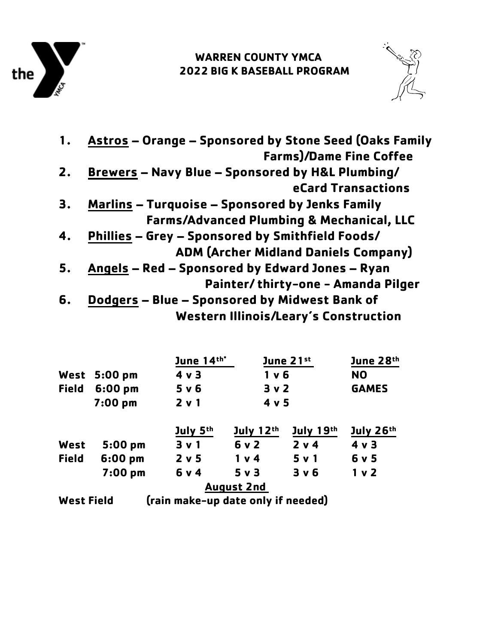

## **WARREN COUNTY YMCA 2022 BIG K BASEBALL PROGRAM**



| 1. | Astros - Orange - Sponsored by Stone Seed (Oaks Family |
|----|--------------------------------------------------------|
|    | <b>Farms)/Dame Fine Coffee</b>                         |
| 2. | Brewers - Navy Blue - Sponsored by H&L Plumbing/       |
|    | <b>eCard Transactions</b>                              |
| З. | <b>Marlins - Turquoise - Sponsored by Jenks Family</b> |
|    | <b>Farms/Advanced Plumbing &amp; Mechanical, LLC</b>   |
| 4. | Phillies - Grey - Sponsored by Smithfield Foods/       |
|    | <b>ADM (Archer Midland Daniels Company)</b>            |
| 5. | Angels - Red - Sponsored by Edward Jones - Ryan        |
|    | Painter/thirty-one - Amanda Pilger                     |
| 6. | Dodgers - Blue - Sponsored by Midwest Bank of          |
|    | <b>Western Illinois/Leary's Construction</b>           |

|                                                         |                        | June 14th* | June 21st         |           | June 28th      |  |
|---------------------------------------------------------|------------------------|------------|-------------------|-----------|----------------|--|
|                                                         | West $5:00 \text{ pm}$ | 4 v 3      | $1v$ 6            |           | <b>NO</b>      |  |
| <b>Field</b>                                            | $6:00$ pm              | 5 v 6      | 3 <sub>v</sub>    |           | <b>GAMES</b>   |  |
|                                                         | $7:00$ pm              | 2 v 1      | 4 v 5             |           |                |  |
|                                                         |                        | July 5th   | July $12th$       | July 19th | July 26th      |  |
| West                                                    | $5:00$ pm              | 3 v 1      | 6 v 2             | 2 v 4     | $4 \vee 3$     |  |
| <b>Field</b>                                            | $6:00$ pm              | 2 v 5      | 1 v 4             | 5 v 1     | 6 v 5          |  |
|                                                         | $7:00$ pm              | 6 v 4      | 5 v 3             | 3 v 6     | 1 <sub>v</sub> |  |
|                                                         |                        |            | <b>August 2nd</b> |           |                |  |
| (rain make-up date only if needed)<br><b>West Field</b> |                        |            |                   |           |                |  |